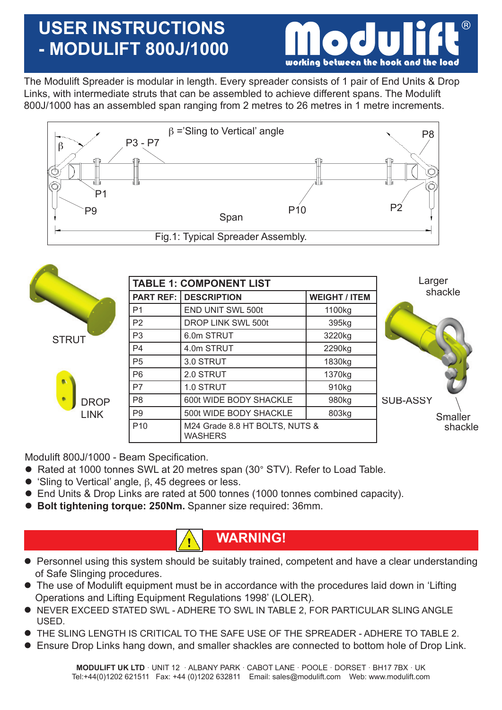# **USER INSTRUCTIONS - MODULIFT 800J/1000**



The Modulift Spreader is modular in length. Every spreader consists of 1 pair of End Units & Drop Links, with intermediate struts that can be assembled to achieve different spans. The Modulift 800J/1000 has an assembled span ranging from 2 metres to 26 metres in 1 metre increments.



|                  |                 | <b>TABLE 1: COMPONENT LIST</b>                   | Larger               |                 |
|------------------|-----------------|--------------------------------------------------|----------------------|-----------------|
|                  |                 | <b>PART REF: DESCRIPTION</b>                     | <b>WEIGHT / ITEM</b> | shackle         |
|                  | P <sub>1</sub>  | END UNIT SWL 500t                                | 1100kg               |                 |
|                  | P <sub>2</sub>  | DROP LINK SWL 500t                               | 395kg                |                 |
| <b>STRUT</b>     | P <sub>3</sub>  | 6.0m STRUT                                       | 3220kg               |                 |
|                  | P <sub>4</sub>  | 4.0m STRUT                                       | 2290kg               |                 |
|                  | P <sub>5</sub>  | 3.0 STRUT                                        | 1830kg               |                 |
| o.               | P <sub>6</sub>  | 2.0 STRUT                                        | 1370kg               |                 |
|                  | P7              | 1.0 STRUT                                        | 910 <sub>kg</sub>    |                 |
| ٠<br><b>DROP</b> | P <sub>8</sub>  | 600t WIDE BODY SHACKLE                           | 980kg                | <b>SUB-ASSY</b> |
| <b>LINK</b>      | P <sub>9</sub>  | 500t WIDE BODY SHACKLE                           | 803kg                | <b>Smaller</b>  |
|                  | P <sub>10</sub> | M24 Grade 8.8 HT BOLTS, NUTS &<br><b>WASHERS</b> | shackle              |                 |

Modulift 800J/1000 - Beam Specification.

- Rated at 1000 tonnes SWL at 20 metres span (30° STV). Refer to Load Table.
- $\bullet$  'Sling to Vertical' angle,  $\beta$ , 45 degrees or less.
- End Units & Drop Links are rated at 500 tonnes (1000 tonnes combined capacity).
- **Bolt tightening torque: 250Nm.** Spanner size required: 36mm.

### **WARNING!**

- Personnel using this system should be suitably trained, competent and have a clear understanding of Safe Slinging procedures.
- The use of Modulift equipment must be in accordance with the procedures laid down in 'Lifting Operations and Lifting Equipment Regulations 1998' (LOLER).
- **.** NEVER EXCEED STATED SWL ADHERE TO SWL IN TABLE 2, FOR PARTICULAR SLING ANGLE USED.
- THE SLING LENGTH IS CRITICAL TO THE SAFE USE OF THE SPREADER ADHERE TO TABLE 2.
- Ensure Drop Links hang down, and smaller shackles are connected to bottom hole of Drop Link.